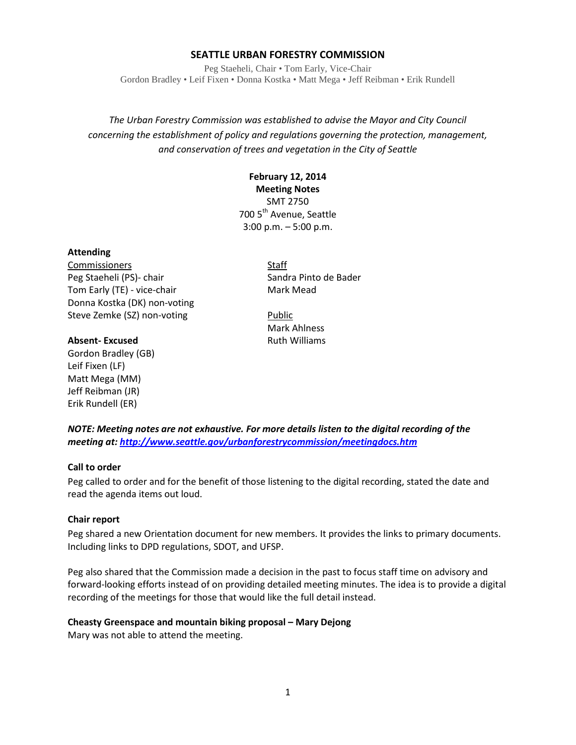# **SEATTLE URBAN FORESTRY COMMISSION**

Peg Staeheli, Chair • Tom Early, Vice-Chair Gordon Bradley • Leif Fixen • Donna Kostka • Matt Mega • Jeff Reibman • Erik Rundell

*The Urban Forestry Commission was established to advise the Mayor and City Council concerning the establishment of policy and regulations governing the protection, management, and conservation of trees and vegetation in the City of Seattle*

# **February 12, 2014**

**Meeting Notes** SMT 2750 700 5<sup>th</sup> Avenue, Seattle 3:00 p.m. – 5:00 p.m.

## **Attending**

Commissioners Staff Peg Staeheli (PS)- chair Sandra Pinto de Bader Tom Early (TE) - vice-chair Mark Mead Donna Kostka (DK) non-voting Steve Zemke (SZ) non-voting example and Public

Mark Ahlness **Absent-Excused** Ruth Williams

Gordon Bradley (GB) Leif Fixen (LF) Matt Mega (MM) Jeff Reibman (JR) Erik Rundell (ER)

*NOTE: Meeting notes are not exhaustive. For more details listen to the digital recording of the meeting at[: http://www.seattle.gov/urbanforestrycommission/meetingdocs.htm](http://www.seattle.gov/urbanforestrycommission/meetingdocs.htm)*

## **Call to order**

Peg called to order and for the benefit of those listening to the digital recording, stated the date and read the agenda items out loud.

## **Chair report**

Peg shared a new Orientation document for new members. It provides the links to primary documents. Including links to DPD regulations, SDOT, and UFSP.

Peg also shared that the Commission made a decision in the past to focus staff time on advisory and forward-looking efforts instead of on providing detailed meeting minutes. The idea is to provide a digital recording of the meetings for those that would like the full detail instead.

## **Cheasty Greenspace and mountain biking proposal – Mary Dejong**

Mary was not able to attend the meeting.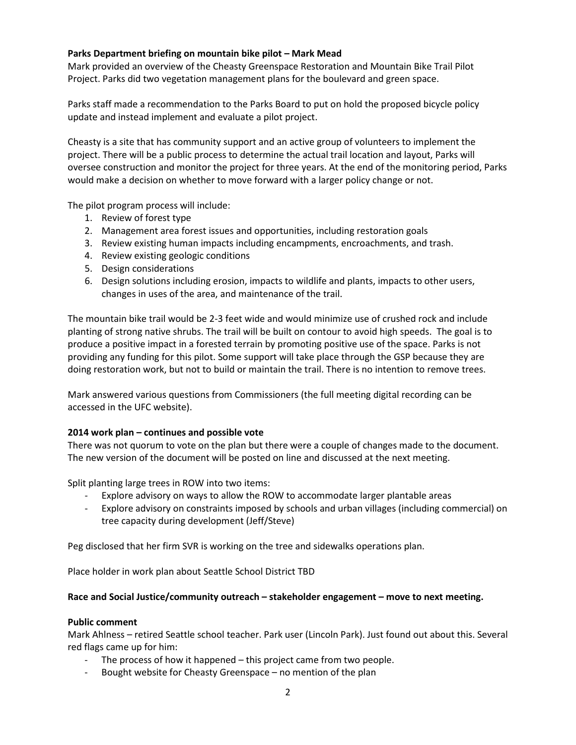# **Parks Department briefing on mountain bike pilot – Mark Mead**

Mark provided an overview of the Cheasty Greenspace Restoration and Mountain Bike Trail Pilot Project. Parks did two vegetation management plans for the boulevard and green space.

Parks staff made a recommendation to the Parks Board to put on hold the proposed bicycle policy update and instead implement and evaluate a pilot project.

Cheasty is a site that has community support and an active group of volunteers to implement the project. There will be a public process to determine the actual trail location and layout, Parks will oversee construction and monitor the project for three years. At the end of the monitoring period, Parks would make a decision on whether to move forward with a larger policy change or not.

The pilot program process will include:

- 1. Review of forest type
- 2. Management area forest issues and opportunities, including restoration goals
- 3. Review existing human impacts including encampments, encroachments, and trash.
- 4. Review existing geologic conditions
- 5. Design considerations
- 6. Design solutions including erosion, impacts to wildlife and plants, impacts to other users, changes in uses of the area, and maintenance of the trail.

The mountain bike trail would be 2-3 feet wide and would minimize use of crushed rock and include planting of strong native shrubs. The trail will be built on contour to avoid high speeds. The goal is to produce a positive impact in a forested terrain by promoting positive use of the space. Parks is not providing any funding for this pilot. Some support will take place through the GSP because they are doing restoration work, but not to build or maintain the trail. There is no intention to remove trees.

Mark answered various questions from Commissioners (the full meeting digital recording can be accessed in the UFC website).

# **2014 work plan – continues and possible vote**

There was not quorum to vote on the plan but there were a couple of changes made to the document. The new version of the document will be posted on line and discussed at the next meeting.

Split planting large trees in ROW into two items:

- Explore advisory on ways to allow the ROW to accommodate larger plantable areas
- Explore advisory on constraints imposed by schools and urban villages (including commercial) on tree capacity during development (Jeff/Steve)

Peg disclosed that her firm SVR is working on the tree and sidewalks operations plan.

Place holder in work plan about Seattle School District TBD

# **Race and Social Justice/community outreach – stakeholder engagement – move to next meeting.**

# **Public comment**

Mark Ahlness – retired Seattle school teacher. Park user (Lincoln Park). Just found out about this. Several red flags came up for him:

- The process of how it happened this project came from two people.
- Bought website for Cheasty Greenspace no mention of the plan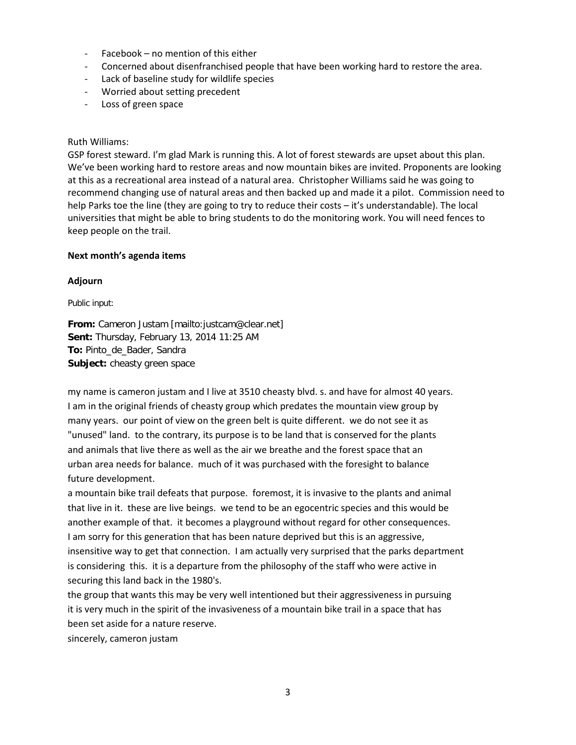- Facebook no mention of this either
- Concerned about disenfranchised people that have been working hard to restore the area.
- Lack of baseline study for wildlife species
- Worried about setting precedent
- Loss of green space

## Ruth Williams:

GSP forest steward. I'm glad Mark is running this. A lot of forest stewards are upset about this plan. We've been working hard to restore areas and now mountain bikes are invited. Proponents are looking at this as a recreational area instead of a natural area. Christopher Williams said he was going to recommend changing use of natural areas and then backed up and made it a pilot. Commission need to help Parks toe the line (they are going to try to reduce their costs – it's understandable). The local universities that might be able to bring students to do the monitoring work. You will need fences to keep people on the trail.

#### **Next month's agenda items**

#### **Adjourn**

Public input:

**From:** Cameron Justam [mailto:justcam@clear.net] **Sent:** Thursday, February 13, 2014 11:25 AM **To:** Pinto\_de\_Bader, Sandra **Subject:** cheasty green space

my name is cameron justam and I live at 3510 cheasty blvd. s. and have for almost 40 years. I am in the original friends of cheasty group which predates the mountain view group by many years. our point of view on the green belt is quite different. we do not see it as "unused" land. to the contrary, its purpose is to be land that is conserved for the plants and animals that live there as well as the air we breathe and the forest space that an urban area needs for balance. much of it was purchased with the foresight to balance future development.

a mountain bike trail defeats that purpose. foremost, it is invasive to the plants and animal that live in it. these are live beings. we tend to be an egocentric species and this would be another example of that. it becomes a playground without regard for other consequences. I am sorry for this generation that has been nature deprived but this is an aggressive, insensitive way to get that connection. I am actually very surprised that the parks department is considering this. it is a departure from the philosophy of the staff who were active in securing this land back in the 1980's.

the group that wants this may be very well intentioned but their aggressiveness in pursuing it is very much in the spirit of the invasiveness of a mountain bike trail in a space that has been set aside for a nature reserve.

sincerely, cameron justam